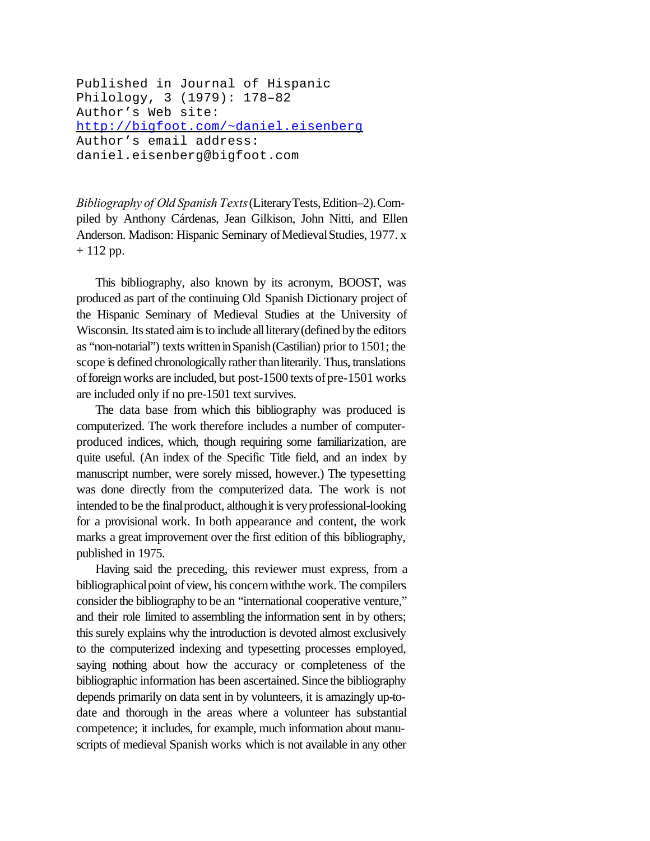```
Published in Journal of Hispanic
Philology, 3 (1979): 178–82
Author's Web site:
http://bigfoot.com/~daniel.eisenberg
Author's email address:
daniel.eisenberg@bigfoot.com
```
*Bibliography of Old Spanish Texts*(LiteraryTests,Edition–2).Compiled by Anthony Cárdenas, Jean Gilkison, John Nitti, and Ellen Anderson. Madison: Hispanic Seminary of Medieval Studies, 1977. x  $+ 112$  pp.

This bibliography, also known by its acronym, BOOST, was produced as part of the continuing Old Spanish Dictionary project of the Hispanic Seminary of Medieval Studies at the University of Wisconsin. Its stated aim is to include all literary (defined by the editors as "non-notarial") texts writteninSpanish(Castilian) priorto 1501; the scope is defined chronologically rather than literarily. Thus, translations of foreign works are included, but post-1500 texts of pre-1501 works are included only if no pre-1501 text survives.

The data base from which this bibliography was produced is computerized. The work therefore includes a number of computerproduced indices, which, though requiring some familiarization, are quite useful. (An index of the Specific Title field, and an index by manuscript number, were sorely missed, however.) The typesetting was done directly from the computerized data. The work is not intended to be the final product, although it is very professional-looking for a provisional work. In both appearance and content, the work marks a great improvement over the first edition of this bibliography, published in 1975.

Having said the preceding, this reviewer must express, from a bibliographical point of view, his concern with the work. The compilers consider the bibliography to be an "international cooperative venture," and their role limited to assembling the information sent in by others; this surely explains why the introduction is devoted almost exclusively to the computerized indexing and typesetting processes employed, saying nothing about how the accuracy or completeness of the bibliographic information has been ascertained. Since the bibliography depends primarily on data sent in by volunteers, it is amazingly up-todate and thorough in the areas where a volunteer has substantial competence; it includes, for example, much information about manuscripts of medieval Spanish works which is not available in any other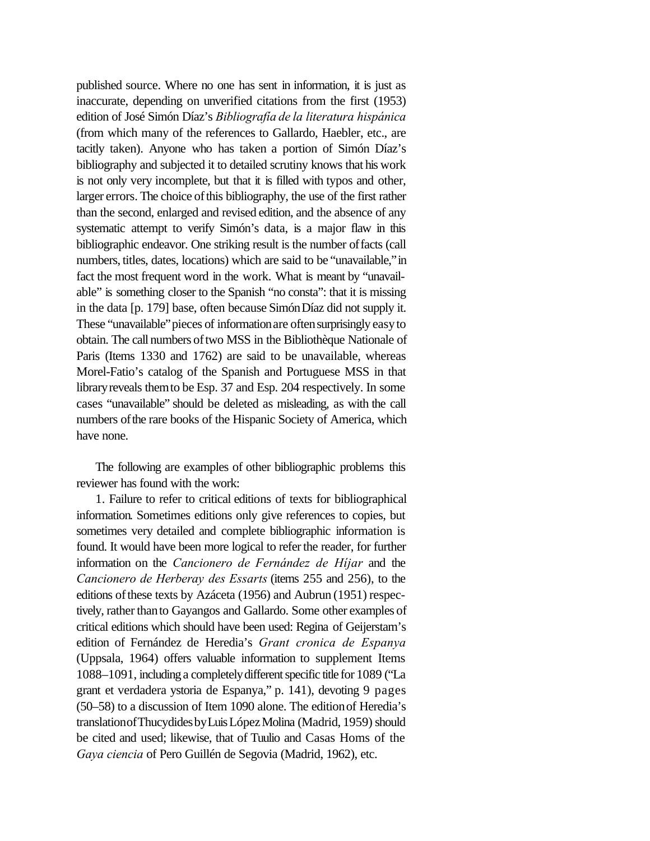published source. Where no one has sent in information, it is just as inaccurate, depending on unverified citations from the first (1953) edition of José Simón Díaz's *Bibliografía de la literatura hispánica* (from which many of the references to Gallardo, Haebler, etc., are tacitly taken). Anyone who has taken a portion of Simón Díaz's bibliography and subjected it to detailed scrutiny knows that his work is not only very incomplete, but that it is filled with typos and other, larger errors. The choice of this bibliography, the use of the first rather than the second, enlarged and revised edition, and the absence of any systematic attempt to verify Simón's data, is a major flaw in this bibliographic endeavor. One striking result is the number offacts (call numbers, titles, dates, locations) which are said to be "unavailable,"in fact the most frequent word in the work. What is meant by "unavailable" is something closer to the Spanish "no consta": that it is missing in the data [p. 179] base, often because SimónDíaz did not supply it. These "unavailable" pieces of information are often surprisingly easy to obtain. The call numbers oftwo MSS in the Bibliothèque Nationale of Paris (Items 1330 and 1762) are said to be unavailable, whereas Morel-Fatio's catalog of the Spanish and Portuguese MSS in that library reveals them to be Esp. 37 and Esp. 204 respectively. In some cases "unavailable" should be deleted as misleading, as with the call numbers of the rare books of the Hispanic Society of America, which have none.

The following are examples of other bibliographic problems this reviewer has found with the work:

1. Failure to refer to critical editions of texts for bibliographical information. Sometimes editions only give references to copies, but sometimes very detailed and complete bibliographic information is found. It would have been more logical to referthe reader, for further information on the *Cancionero de Fernández de Híjar* and the *Cancionero de Herberay des Essarts* (items 255 and 256), to the editions of these texts by Azáceta (1956) and Aubrun (1951) respectively, rather than to Gayangos and Gallardo. Some other examples of critical editions which should have been used: Regina of Geijerstam's edition of Fernández de Heredia's *Grant cronica de Espanya* (Uppsala, 1964) offers valuable information to supplement Items 1088–1091, including a completelydifferentspecific title for 1089 ("La grant et verdadera ystoria de Espanya," p. 141), devoting 9 pages (50–58) to a discussion of Item 1090 alone. The editionof Heredia's translation of Thucydides by Luis López Molina (Madrid, 1959) should be cited and used; likewise, that of Tuulio and Casas Homs of the *Gaya ciencia* of Pero Guillén de Segovia (Madrid, 1962), etc.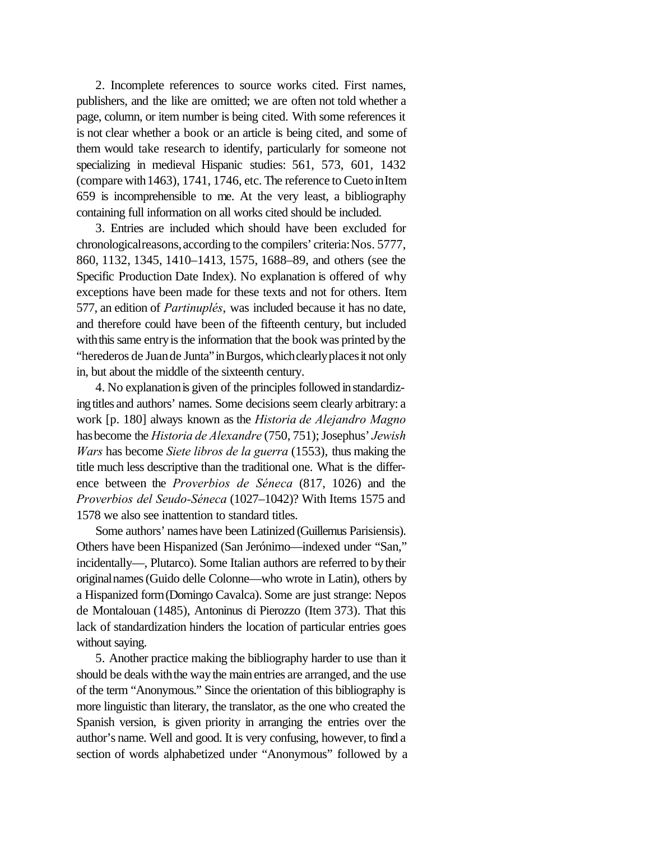2. Incomplete references to source works cited. First names, publishers, and the like are omitted; we are often not told whether a page, column, or item number is being cited. With some references it is not clear whether a book or an article is being cited, and some of them would take research to identify, particularly for someone not specializing in medieval Hispanic studies: 561, 573, 601, 1432 (compare with 1463), 1741, 1746, etc. The reference to Cueto in Item 659 is incomprehensible to me. At the very least, a bibliography containing full information on all works cited should be included.

3. Entries are included which should have been excluded for chronological reasons, according to the compilers' criteria: Nos. 5777, 860, 1132, 1345, 1410–1413, 1575, 1688–89, and others (see the Specific Production Date Index). No explanation is offered of why exceptions have been made for these texts and not for others. Item 577, an edition of *Partinuplés*, was included because it has no date, and therefore could have been of the fifteenth century, but included with this same entry is the information that the book was printed by the "herederos de Juan de Junta" in Burgos, which clearly places it not only in, but about the middle of the sixteenth century.

4. No explanationis given of the principles followed instandardizingtitles and authors' names. Some decisions seem clearly arbitrary: a work [p. 180] always known as the *Historia de Alejandro Magno* has become the *Historia de Alexandre* (750, 751); Josephus' *Jewish Wars* has become *Siete libros de la guerra* (1553), thus making the title much less descriptive than the traditional one. What is the difference between the *Proverbios de Séneca* (817, 1026) and the *Proverbios del Seudo-Séneca* (1027–1042)? With Items 1575 and 1578 we also see inattention to standard titles.

Some authors' names have been Latinized (Guillemus Parisiensis). Others have been Hispanized (San Jerónimo—indexed under "San," incidentally—, Plutarco). Some Italian authors are referred to by their originalnames(Guido delle Colonne—who wrote in Latin), others by a Hispanized form(Domingo Cavalca). Some are just strange: Nepos de Montalouan (1485), Antoninus di Pierozzo (Item 373). That this lack of standardization hinders the location of particular entries goes without saying.

5. Another practice making the bibliography harder to use than it should be deals with the way the main entries are arranged, and the use of the term "Anonymous." Since the orientation of this bibliography is more linguistic than literary, the translator, as the one who created the Spanish version, is given priority in arranging the entries over the author's name. Well and good. It is very confusing, however, to find a section of words alphabetized under "Anonymous" followed by a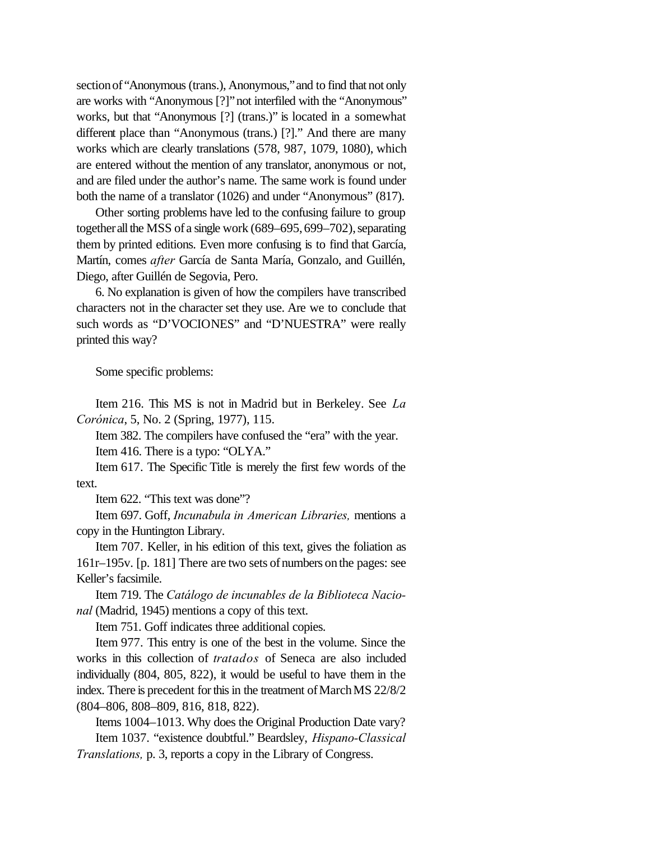section of "Anonymous (trans.), Anonymous," and to find that not only are works with "Anonymous [?]" not interfiled with the "Anonymous" works, but that "Anonymous [?] (trans.)" is located in a somewhat different place than "Anonymous (trans.) [?]." And there are many works which are clearly translations (578, 987, 1079, 1080), which are entered without the mention of any translator, anonymous or not, and are filed under the author's name. The same work is found under both the name of a translator (1026) and under "Anonymous" (817).

Other sorting problems have led to the confusing failure to group together all the MSS of a single work  $(689-695, 699-702)$ , separating them by printed editions. Even more confusing is to find that García, Martín, comes *after* García de Santa María, Gonzalo, and Guillén, Diego, after Guillén de Segovia, Pero.

6. No explanation is given of how the compilers have transcribed characters not in the character set they use. Are we to conclude that such words as "D'VOCIONES" and "D'NUESTRA" were really printed this way?

Some specific problems:

Item 216. This MS is not in Madrid but in Berkeley. See *La Corónica*, 5, No. 2 (Spring, 1977), 115.

Item 382. The compilers have confused the "era" with the year. Item 416. There is a typo: "OLYA."

Item 617. The Specific Title is merely the first few words of the text.

Item 622. "This text was done"?

Item 697. Goff, *Incunabula in American Libraries,* mentions a copy in the Huntington Library.

Item 707. Keller, in his edition of this text, gives the foliation as 161r–195v. [p. 181] There are two sets ofnumbers onthe pages: see Keller's facsimile.

Item 719. The *Catálogo de incunables de la Biblioteca Nacional* (Madrid, 1945) mentions a copy of this text.

Item 751. Goff indicates three additional copies.

Item 977. This entry is one of the best in the volume. Since the works in this collection of *tratados* of Seneca are also included individually (804, 805, 822), it would be useful to have them in the index. There is precedent for this in the treatment of March MS 22/8/2 (804–806, 808–809, 816, 818, 822).

Items 1004–1013. Why does the Original Production Date vary? Item 1037. "existence doubtful." Beardsley, *Hispano-Classical Translations,* p. 3, reports a copy in the Library of Congress.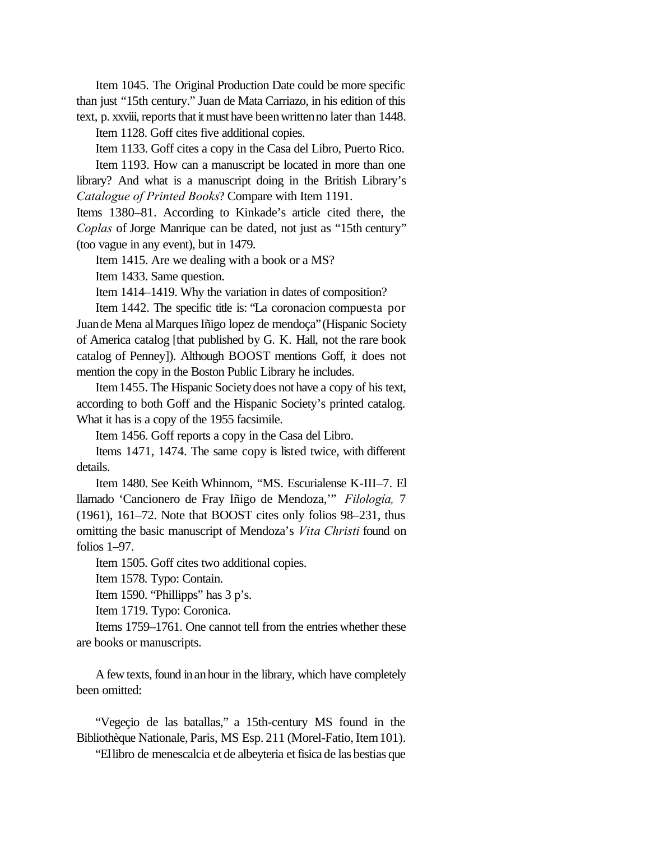Item 1045. The Original Production Date could be more specific than just "15th century." Juan de Mata Carriazo, in his edition of this text, p. xxviii, reports that it must have been written no later than 1448.

Item 1128. Goff cites five additional copies.

Item 1133. Goff cites a copy in the Casa del Libro, Puerto Rico.

Item 1193. How can a manuscript be located in more than one library? And what is a manuscript doing in the British Library's *Catalogue of Printed Books*? Compare with Item 1191.

Items 1380–81. According to Kinkade's article cited there, the *Coplas* of Jorge Manrique can be dated, not just as "15th century" (too vague in any event), but in 1479.

Item 1415. Are we dealing with a book or a MS?

Item 1433. Same question.

Item 1414–1419. Why the variation in dates of composition?

Item 1442. The specific title is: "La coronacion compuesta por Juande Mena alMarquesIñigo lopez de mendoça"(Hispanic Society of America catalog [that published by G. K. Hall, not the rare book catalog of Penney]). Although BOOST mentions Goff, it does not mention the copy in the Boston Public Library he includes.

Item1455. The Hispanic Societydoes not have a copy of his text, according to both Goff and the Hispanic Society's printed catalog. What it has is a copy of the 1955 facsimile.

Item 1456. Goff reports a copy in the Casa del Libro.

Items 1471, 1474. The same copy is listed twice, with different details.

Item 1480. See Keith Whinnom, "MS. Escurialense K-III–7. El llamado 'Cancionero de Fray Iñigo de Mendoza,'" *Filología,* 7 (1961), 161–72. Note that BOOST cites only folios 98–231, thus omitting the basic manuscript of Mendoza's *Vita Christi* found on folios 1–97.

Item 1505. Goff cites two additional copies.

Item 1578. Typo: Contain.

Item 1590. "Phillipps" has 3 p's.

Item 1719. Typo: Coronica.

Items 1759–1761. One cannot tell from the entries whether these are books or manuscripts.

A few texts, found in an hour in the library, which have completely been omitted:

"Vegeçio de las batallas," a 15th-century MS found in the Bibliothèque Nationale, Paris, MS Esp. 211 (Morel-Fatio, Item101).

"Ellibro de menescalcia et de albeyteria et fisica de las bestias que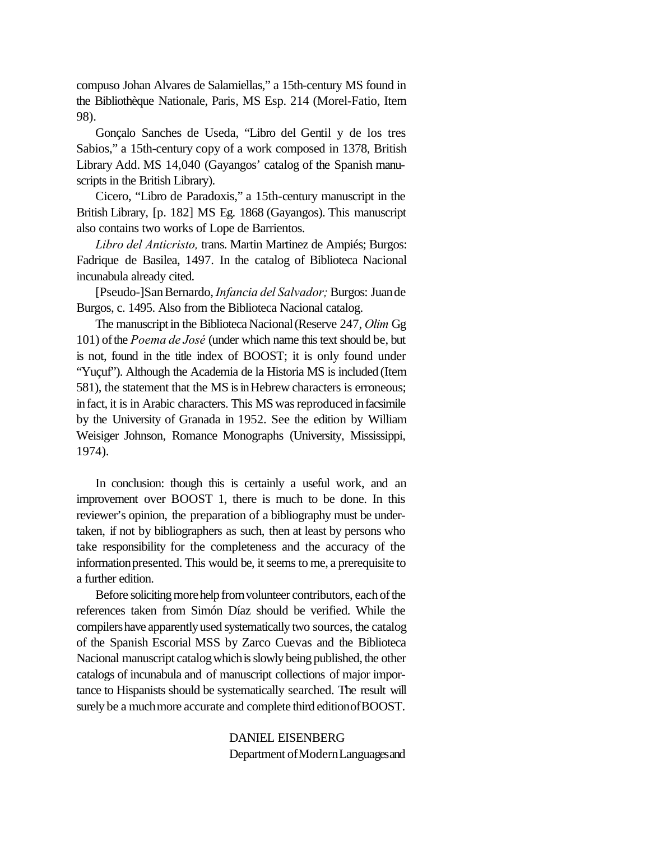compuso Johan Alvares de Salamiellas," a 15th-century MS found in the Bibliothèque Nationale, Paris, MS Esp. 214 (Morel-Fatio, Item 98).

Gonçalo Sanches de Useda, "Libro del Gentil y de los tres Sabios," a 15th-century copy of a work composed in 1378, British Library Add. MS 14,040 (Gayangos' catalog of the Spanish manuscripts in the British Library).

Cicero, "Libro de Paradoxis," a 15th-century manuscript in the British Library, [p. 182] MS Eg. 1868 (Gayangos). This manuscript also contains two works of Lope de Barrientos.

*Libro del Anticristo,* trans. Martin Martinez de Ampiés; Burgos: Fadrique de Basilea, 1497. In the catalog of Biblioteca Nacional incunabula already cited.

[Pseudo-]SanBernardo, *Infancia del Salvador;* Burgos: Juande Burgos, c. 1495. Also from the Biblioteca Nacional catalog.

The manuscript in the Biblioteca Nacional(Reserve 247, *Olim* Gg 101) ofthe *Poema de José* (under which name thistext should be, but is not, found in the title index of BOOST; it is only found under "Yuçuf"). Although the Academia de la Historia MS is included (Item 581), the statement that the MS is in Hebrew characters is erroneous; in fact, it is in Arabic characters. This MS was reproduced in facsimile by the University of Granada in 1952. See the edition by William Weisiger Johnson, Romance Monographs (University, Mississippi, 1974).

In conclusion: though this is certainly a useful work, and an improvement over BOOST 1, there is much to be done. In this reviewer's opinion, the preparation of a bibliography must be undertaken, if not by bibliographers as such, then at least by persons who take responsibility for the completeness and the accuracy of the informationpresented. This would be, it seems to me, a prerequisite to a further edition.

Before soliciting more help from volunteer contributors, each of the references taken from Simón Díaz should be verified. While the compilershave apparentlyused systematically two sources, the catalog of the Spanish Escorial MSS by Zarco Cuevas and the Biblioteca Nacional manuscript catalog which is slowly being published, the other catalogs of incunabula and of manuscript collections of major importance to Hispanists should be systematically searched. The result will surely be a muchmore accurate and complete third editionofBOOST.

> DANIEL EISENBERG Department ofModernLanguages and